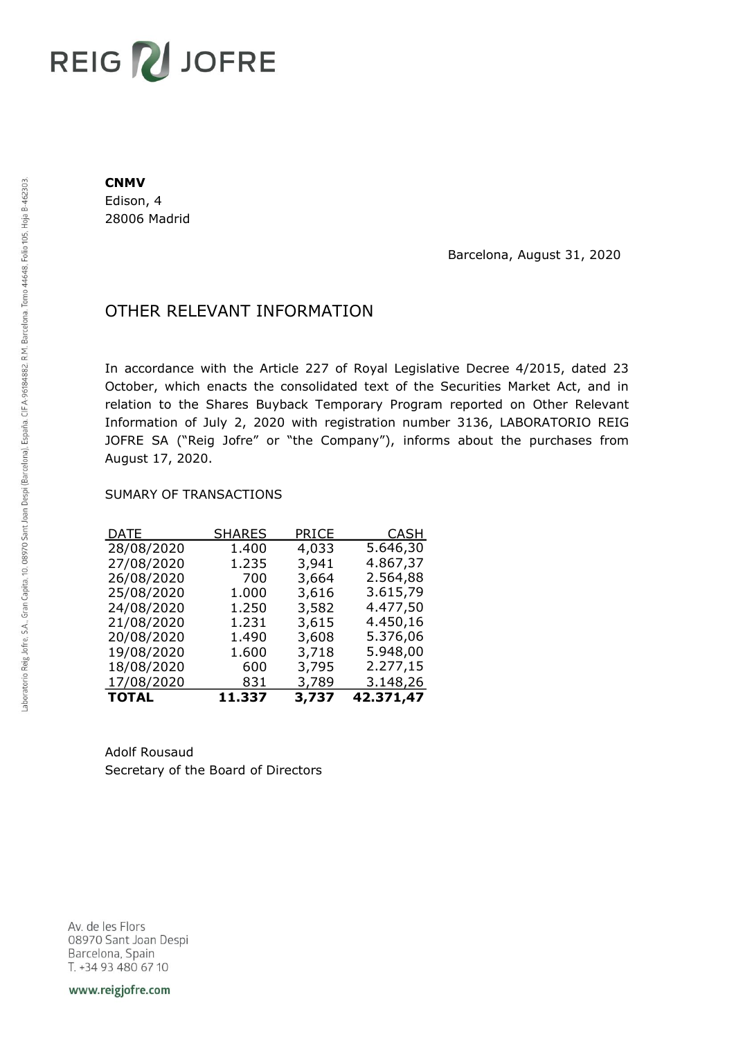# REIG V JOFRE

#### **CNMV**

Edison, 4 28006 Madrid

Barcelona, August 31, 2020

## OTHER RELEVANT INFORMATION

In accordance with the Article 227 of Royal Legislative Decree 4/2015, dated 23 October, which enacts the consolidated text of the Securities Market Act, and in relation to the Shares Buyback Temporary Program reported on Other Relevant Information of July 2, 2020 with registration number 3136, LABORATORIO REIG JOFRE SA ("Reig Jofre" or "the Company"), informs about the purchases from August 17, 2020.

### SUMARY OF TRANSACTIONS

| <b>DATE</b>  | SHARES | PRICE | CASH      |
|--------------|--------|-------|-----------|
| 28/08/2020   | 1.400  | 4,033 | 5.646,30  |
| 27/08/2020   | 1.235  | 3,941 | 4.867,37  |
| 26/08/2020   | 700    | 3,664 | 2.564,88  |
| 25/08/2020   | 1.000  | 3,616 | 3.615,79  |
| 24/08/2020   | 1.250  | 3,582 | 4.477,50  |
| 21/08/2020   | 1.231  | 3,615 | 4.450,16  |
| 20/08/2020   | 1.490  | 3,608 | 5.376,06  |
| 19/08/2020   | 1.600  | 3,718 | 5.948,00  |
| 18/08/2020   | 600    | 3,795 | 2.277,15  |
| 17/08/2020   | 831    | 3,789 | 3.148,26  |
| <b>TOTAL</b> | 11.337 | 3,737 | 42.371,47 |

Adolf Rousaud Secretary of the Board of Directors

Av. de les Flors 08970 Sant Joan Despi Barcelona, Spain T. +34 93 480 67 10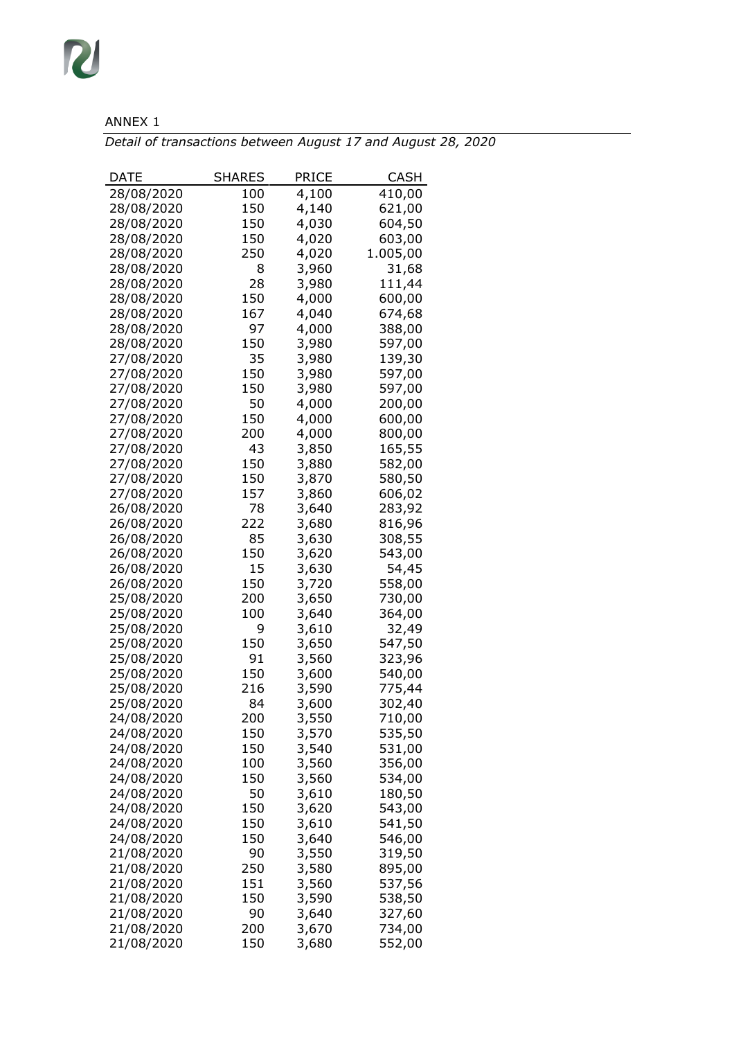## ANNEX 1

*Detail of transactions between August 17 and August 28, 2020*

| DATE       | SHARES | PRICE | CASH     |
|------------|--------|-------|----------|
| 28/08/2020 | 100    | 4,100 | 410,00   |
| 28/08/2020 | 150    | 4,140 | 621,00   |
| 28/08/2020 | 150    | 4,030 | 604,50   |
| 28/08/2020 | 150    | 4,020 | 603,00   |
| 28/08/2020 | 250    | 4,020 | 1.005,00 |
|            | 8      |       |          |
| 28/08/2020 |        | 3,960 | 31,68    |
| 28/08/2020 | 28     | 3,980 | 111,44   |
| 28/08/2020 | 150    | 4,000 | 600,00   |
| 28/08/2020 | 167    | 4,040 | 674,68   |
| 28/08/2020 | 97     | 4,000 | 388,00   |
| 28/08/2020 | 150    | 3,980 | 597,00   |
| 27/08/2020 | 35     | 3,980 | 139,30   |
| 27/08/2020 | 150    | 3,980 | 597,00   |
| 27/08/2020 | 150    | 3,980 | 597,00   |
| 27/08/2020 | 50     | 4,000 | 200,00   |
| 27/08/2020 | 150    | 4,000 | 600,00   |
| 27/08/2020 | 200    | 4,000 | 800,00   |
| 27/08/2020 | 43     | 3,850 | 165,55   |
| 27/08/2020 | 150    | 3,880 | 582,00   |
| 27/08/2020 | 150    | 3,870 | 580,50   |
| 27/08/2020 | 157    | 3,860 | 606,02   |
| 26/08/2020 | 78     | 3,640 | 283,92   |
| 26/08/2020 | 222    | 3,680 | 816,96   |
| 26/08/2020 | 85     | 3,630 | 308,55   |
| 26/08/2020 | 150    | 3,620 | 543,00   |
|            | 15     |       |          |
| 26/08/2020 |        | 3,630 | 54,45    |
| 26/08/2020 | 150    | 3,720 | 558,00   |
| 25/08/2020 | 200    | 3,650 | 730,00   |
| 25/08/2020 | 100    | 3,640 | 364,00   |
| 25/08/2020 | 9      | 3,610 | 32,49    |
| 25/08/2020 | 150    | 3,650 | 547,50   |
| 25/08/2020 | 91     | 3,560 | 323,96   |
| 25/08/2020 | 150    | 3,600 | 540,00   |
| 25/08/2020 | 216    | 3,590 | 775,44   |
| 25/08/2020 | 84     | 3,600 | 302,40   |
| 24/08/2020 | 200    | 3,550 | 710,00   |
| 24/08/2020 | 150    | 3,570 | 535,50   |
| 24/08/2020 | 150    | 3,540 | 531,00   |
| 24/08/2020 | 100    | 3,560 | 356,00   |
| 24/08/2020 | 150    | 3,560 | 534,00   |
| 24/08/2020 | 50     | 3,610 | 180,50   |
| 24/08/2020 | 150    | 3,620 | 543,00   |
| 24/08/2020 | 150    | 3,610 | 541,50   |
| 24/08/2020 | 150    | 3,640 | 546,00   |
| 21/08/2020 | 90     | 3,550 | 319,50   |
| 21/08/2020 | 250    | 3,580 | 895,00   |
| 21/08/2020 | 151    | 3,560 | 537,56   |
| 21/08/2020 | 150    | 3,590 | 538,50   |
|            | 90     | 3,640 |          |
| 21/08/2020 |        |       | 327,60   |
| 21/08/2020 | 200    | 3,670 | 734,00   |
| 21/08/2020 | 150    | 3,680 | 552,00   |